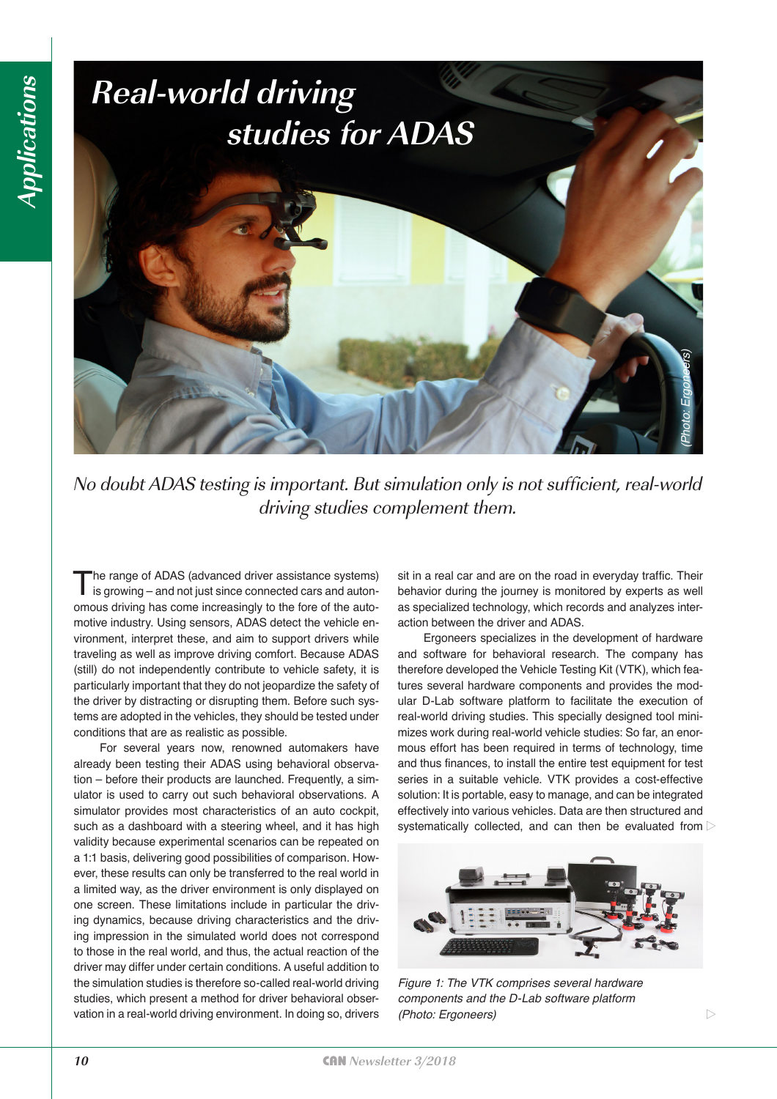

No doubt ADAS testing is important. But simulation only is not sufficient, real-world driving studies complement them.

The range of ADAS (advanced driver assistance systems) is growing – and not just since connected cars and autonomous driving has come increasingly to the fore of the automotive industry. Using sensors, ADAS detect the vehicle environment, interpret these, and aim to support drivers while traveling as well as improve driving comfort. Because ADAS (still) do not independently contribute to vehicle safety, it is particularly important that they do not jeopardize the safety of the driver by distracting or disrupting them. Before such systems are adopted in the vehicles, they should be tested under conditions that are as realistic as possible.

For several years now, renowned automakers have already been testing their ADAS using behavioral observation – before their products are launched. Frequently, a simulator is used to carry out such behavioral observations. A simulator provides most characteristics of an auto cockpit, such as a dashboard with a steering wheel, and it has high validity because experimental scenarios can be repeated on a 1:1 basis, delivering good possibilities of comparison. However, these results can only be transferred to the real world in a limited way, as the driver environment is only displayed on one screen. These limitations include in particular the driving dynamics, because driving characteristics and the driving impression in the simulated world does not correspond to those in the real world, and thus, the actual reaction of the driver may differ under certain conditions. A useful addition to the simulation studies is therefore so-called real-world driving studies, which present a method for driver behavioral observation in a real-world driving environment. In doing so, drivers sit in a real car and are on the road in everyday traffic. Their behavior during the journey is monitored by experts as well as specialized technology, which records and analyzes interaction between the driver and ADAS.

Ergoneers specializes in the development of hardware and software for behavioral research. The company has therefore developed the Vehicle Testing Kit (VTK), which features several hardware components and provides the modular D-Lab software platform to facilitate the execution of real-world driving studies. This specially designed tool minimizes work during real-world vehicle studies: So far, an enormous effort has been required in terms of technology, time and thus finances, to install the entire test equipment for test series in a suitable vehicle. VTK provides a cost-effective solution: It is portable, easy to manage, and can be integrated effectively into various vehicles. Data are then structured and systematically collected, and can then be evaluated from  $\triangleright$ 



 $\triangleright$ 

*Figure 1: The VTK comprises several hardware components and the D-Lab software platform (Photo: Ergoneers)*